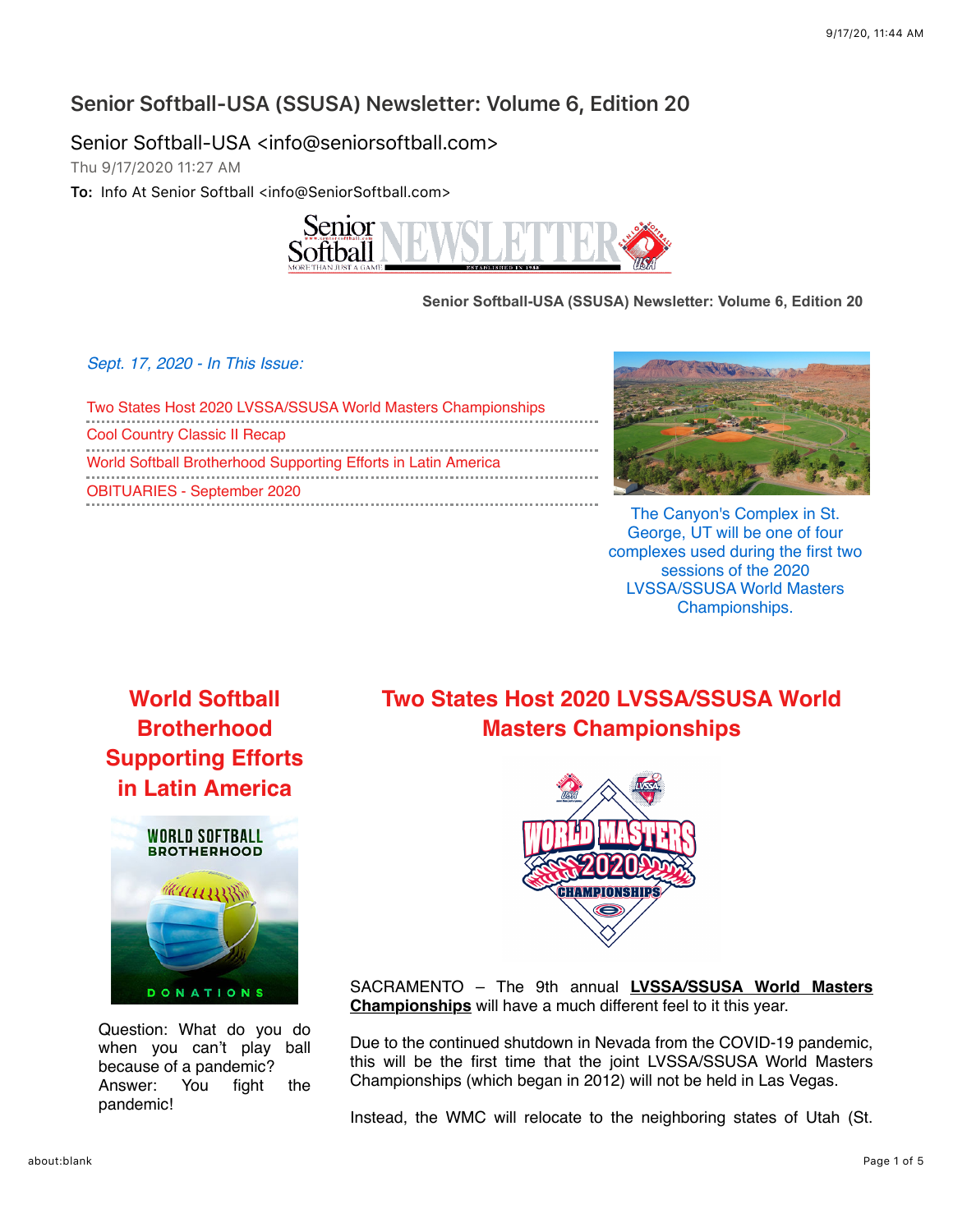### **Senior Softball-USA (SSUSA) Newsletter: Volume 6, Edition 20**

Senior Softball-USA <info@seniorsoftball.com>

Thu 9/17/2020 11:27 AM

**To:** Info At Senior Softball <info@SeniorSoftball.com>



**Senior Softball-USA (SSUSA) Newsletter: Volume 6, Edition 20**

*Sept. 17, 2020 - In This Issue:*

[Two States Host 2020 LVSSA/SSUSA World Masters Championships](https://outlook.office.com/mail/deeplink?version=20200914002.04&popoutv2=1#x_1181) [Cool Country Classic II Recap](https://outlook.office.com/mail/deeplink?version=20200914002.04&popoutv2=1#x_1189) [World Softball Brotherhood Supporting Efforts in Latin America](https://outlook.office.com/mail/deeplink?version=20200914002.04&popoutv2=1#x_1186) [OBITUARIES - September 2020](https://outlook.office.com/mail/deeplink?version=20200914002.04&popoutv2=1#x_1188)



The Canyon's Complex in St. George, UT will be one of four complexes used during the first two sessions of the 2020 LVSSA/SSUSA World Masters Championships.

**World Softball Brotherhood [Supporting Efforts](https://mandrillapp.com/track/click/30606666/seniorsoftball.com?p=eyJzIjoiSHdWaE5aOHNVXzY0Z2s5VWNSd2ZYSmhFNk5VIiwidiI6MSwicCI6IntcInVcIjozMDYwNjY2NixcInZcIjoxLFwidXJsXCI6XCJodHRwczpcXFwvXFxcL3NlbmlvcnNvZnRiYWxsLmNvbVxcXC8_bmV3cyZzdG9yeT0xNzA5XCIsXCJpZFwiOlwiNTE3N2NkNWRjM2JiNDgyNmEyOGE3OTk0NmE2YmQyNGVcIixcInVybF9pZHNcIjpbXCJlNWU4MWZkMjc5ODZmMDdlOTJiZTQyZmM1NWM1MjM5MzU3MjcxYzQ4XCJdfSJ9) in Latin America**



Question: What do you do when you can't play ball because of a pandemic? Answer: You fight the pandemic!

## **[Two States Host 2020 LVSSA/SSUSA World](https://mandrillapp.com/track/click/30606666/seniorsoftball.com?p=eyJzIjoiX0FvRFo2ODRXcnlWT1ZNTXVvdURLT1FMb0lRIiwidiI6MSwicCI6IntcInVcIjozMDYwNjY2NixcInZcIjoxLFwidXJsXCI6XCJodHRwczpcXFwvXFxcL3NlbmlvcnNvZnRiYWxsLmNvbVxcXC8_bmV3cyZzdG9yeT0xNzExXCIsXCJpZFwiOlwiNTE3N2NkNWRjM2JiNDgyNmEyOGE3OTk0NmE2YmQyNGVcIixcInVybF9pZHNcIjpbXCJlNWU4MWZkMjc5ODZmMDdlOTJiZTQyZmM1NWM1MjM5MzU3MjcxYzQ4XCJdfSJ9) Masters Championships**



SACRAMENTO – The 9th annual **LVSSA/SSUSA World Masters Championships** [will have a much different feel to it this year.](https://mandrillapp.com/track/click/30606666/seniorsoftball.com?p=eyJzIjoiNzdxczAybXBMTVcycFJoRzUza0VrdkVCeE0wIiwidiI6MSwicCI6IntcInVcIjozMDYwNjY2NixcInZcIjoxLFwidXJsXCI6XCJodHRwczpcXFwvXFxcL3NlbmlvcnNvZnRiYWxsLmNvbVxcXC8_ZXZlbnQ9MTQ2NVwiLFwiaWRcIjpcIjUxNzdjZDVkYzNiYjQ4MjZhMjhhNzk5NDZhNmJkMjRlXCIsXCJ1cmxfaWRzXCI6W1wiZTVlODFmZDI3OTg2ZjA3ZTkyYmU0MmZjNTVjNTIzOTM1NzI3MWM0OFwiXX0ifQ)

Due to the continued shutdown in Nevada from the COVID-19 pandemic, this will be the first time that the joint LVSSA/SSUSA World Masters Championships (which began in 2012) will not be held in Las Vegas.

Instead, the WMC will relocate to the neighboring states of Utah (St.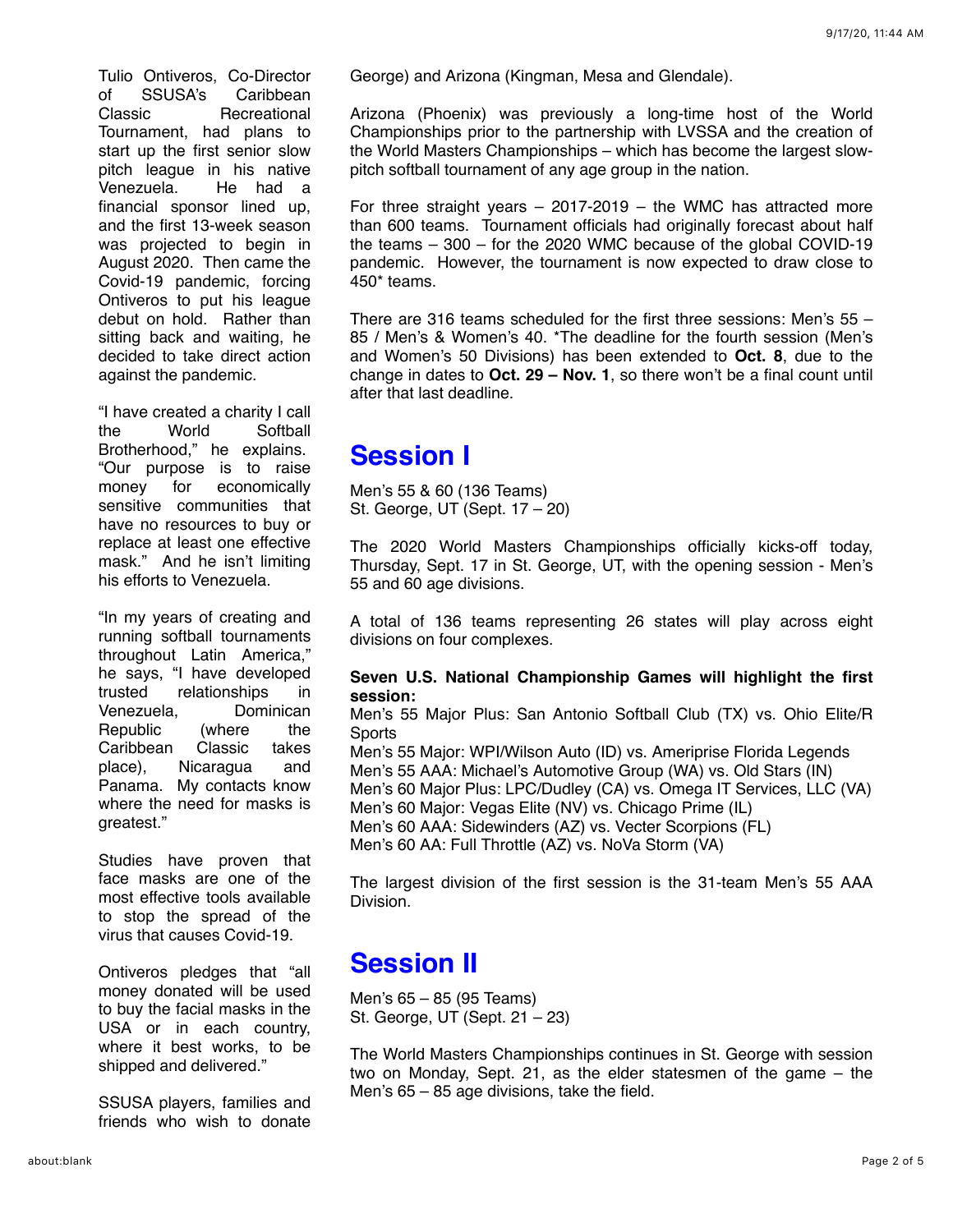Tulio Ontiveros, Co-Director of SSUSA's Caribbean Classic Recreational Tournament, had plans to start up the first senior slow pitch league in his native Venezuela. He had a financial sponsor lined up, and the first 13-week season was projected to begin in August 2020. Then came the Covid-19 pandemic, forcing Ontiveros to put his league debut on hold. Rather than sitting back and waiting, he decided to take direct action against the pandemic.

"I have created a charity I call the World Softball Brotherhood," he explains. "Our purpose is to raise money for economically sensitive communities that have no resources to buy or replace at least one effective mask." And he isn't limiting his efforts to Venezuela.

"In my years of creating and running softball tournaments throughout Latin America," he says, "I have developed trusted relationships in Venezuela, Dominican Republic (where the Caribbean Classic takes place), Nicaragua and Panama. My contacts know where the need for masks is greatest."

Studies have proven that face masks are one of the most effective tools available to stop the spread of the virus that causes Covid-19.

Ontiveros pledges that "all money donated will be used to buy the facial masks in the USA or in each country, where it best works, to be shipped and delivered."

SSUSA players, families and friends who wish to donate George) and Arizona (Kingman, Mesa and Glendale).

Arizona (Phoenix) was previously a long-time host of the World Championships prior to the partnership with LVSSA and the creation of the World Masters Championships – which has become the largest slowpitch softball tournament of any age group in the nation.

For three straight years  $-2017-2019$  – the WMC has attracted more than 600 teams. Tournament officials had originally forecast about half the teams – 300 – for the 2020 WMC because of the global COVID-19 pandemic. However, the tournament is now expected to draw close to 450\* teams.

There are 316 teams scheduled for the first three sessions: Men's  $55 -$ 85 / Men's & Women's 40. \*The deadline for the fourth session (Men's and Women's 50 Divisions) has been extended to **Oct. 8**, due to the change in dates to **Oct. 29 – Nov. 1**, so there won't be a final count until after that last deadline.

# **Session I**

Men's 55 & 60 (136 Teams) St. George, UT (Sept. 17 – 20)

The 2020 World Masters Championships officially kicks-off today, Thursday, Sept. 17 in St. George, UT, with the opening session - Men's 55 and 60 age divisions.

A total of 136 teams representing 26 states will play across eight divisions on four complexes.

#### **Seven U.S. National Championship Games will highlight the first session:**

Men's 55 Major Plus: San Antonio Softball Club (TX) vs. Ohio Elite/R **Sports** 

Men's 55 Major: WPI/Wilson Auto (ID) vs. Ameriprise Florida Legends Men's 55 AAA: Michael's Automotive Group (WA) vs. Old Stars (IN) Men's 60 Major Plus: LPC/Dudley (CA) vs. Omega IT Services, LLC (VA) Men's 60 Major: Vegas Elite (NV) vs. Chicago Prime (IL) Men's 60 AAA: Sidewinders (AZ) vs. Vecter Scorpions (FL) Men's 60 AA: Full Throttle (AZ) vs. NoVa Storm (VA)

The largest division of the first session is the 31-team Men's 55 AAA Division.

## **Session II**

Men's 65 – 85 (95 Teams) St. George, UT (Sept. 21 – 23)

The World Masters Championships continues in St. George with session two on Monday, Sept. 21, as the elder statesmen of the game – the Men's 65 – 85 age divisions, take the field.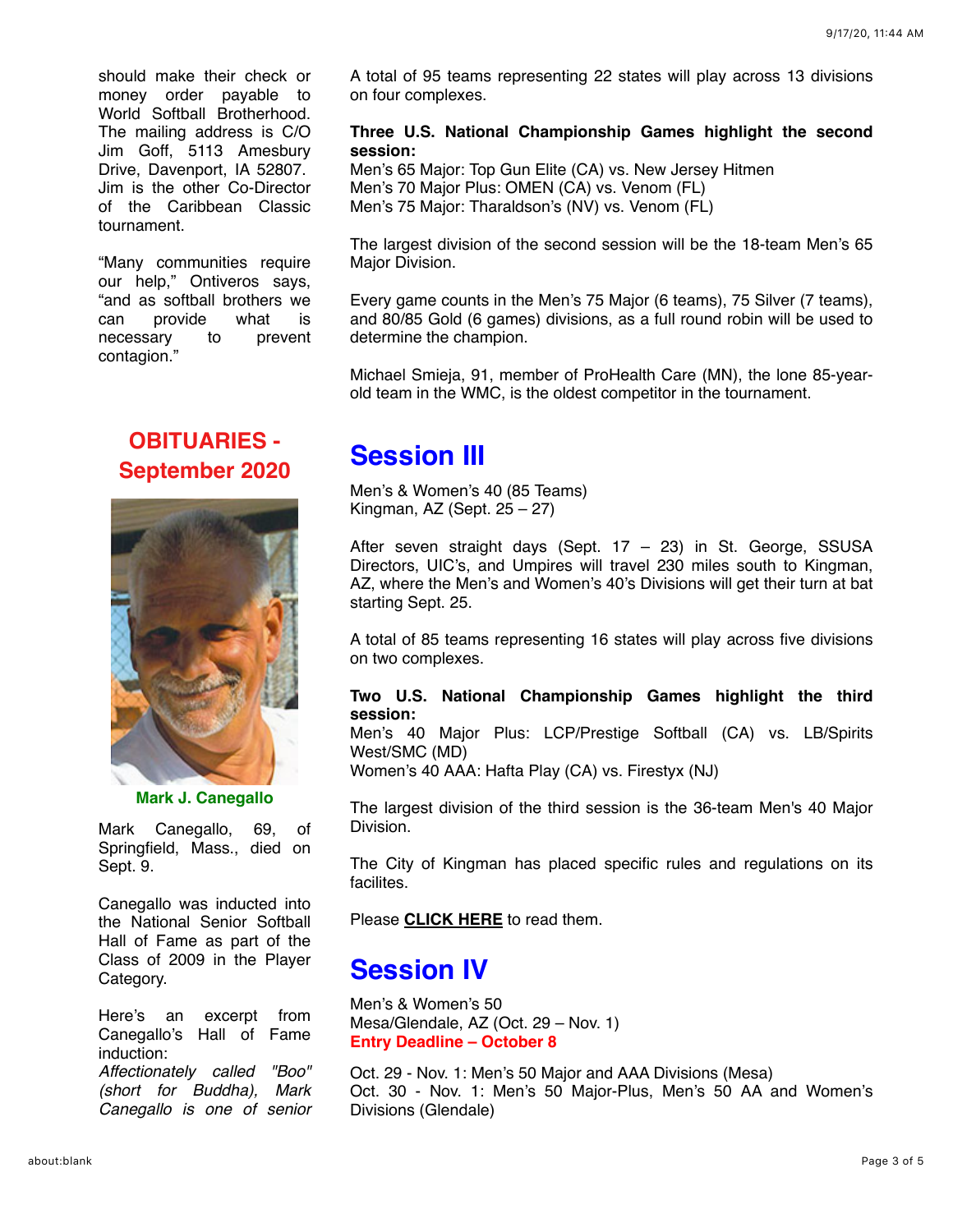should make their check or money order payable to World Softball Brotherhood. The mailing address is C/O Jim Goff, 5113 Amesbury Drive, Davenport, IA 52807. Jim is the other Co-Director of the Caribbean Classic tournament.

"Many communities require our help," Ontiveros says, "and as softball brothers we can provide what is necessary to prevent contagion."

### **OBITUARIES - [September 2020](https://mandrillapp.com/track/click/30606666/seniorsoftball.com?p=eyJzIjoib3h2SE5CdWpOZXptSHZ3SVdOWUo2dUhIR0RzIiwidiI6MSwicCI6IntcInVcIjozMDYwNjY2NixcInZcIjoxLFwidXJsXCI6XCJodHRwczpcXFwvXFxcL3NlbmlvcnNvZnRiYWxsLmNvbVxcXC8_bmV3cyZzdG9yeT0xNzEwXCIsXCJpZFwiOlwiNTE3N2NkNWRjM2JiNDgyNmEyOGE3OTk0NmE2YmQyNGVcIixcInVybF9pZHNcIjpbXCJlNWU4MWZkMjc5ODZmMDdlOTJiZTQyZmM1NWM1MjM5MzU3MjcxYzQ4XCJdfSJ9)**



**Mark J. Canegallo**

Mark Canegallo, 69, of Springfield, Mass., died on Sept. 9.

Canegallo was inducted into the National Senior Softball Hall of Fame as part of the Class of 2009 in the Player Category.

Here's an excerpt from Canegallo's Hall of Fame induction:

*Affectionately called "Boo" (short for Buddha), Mark Canegallo is one of senior* A total of 95 teams representing 22 states will play across 13 divisions on four complexes.

#### **Three U.S. National Championship Games highlight the second session:**

Men's 65 Major: Top Gun Elite (CA) vs. New Jersey Hitmen Men's 70 Major Plus: OMEN (CA) vs. Venom (FL) Men's 75 Major: Tharaldson's (NV) vs. Venom (FL)

The largest division of the second session will be the 18-team Men's 65 Major Division.

Every game counts in the Men's 75 Major (6 teams), 75 Silver (7 teams), and 80/85 Gold (6 games) divisions, as a full round robin will be used to determine the champion.

Michael Smieja, 91, member of ProHealth Care (MN), the lone 85-yearold team in the WMC, is the oldest competitor in the tournament.

## **Session III**

Men's & Women's 40 (85 Teams) Kingman, AZ (Sept. 25 – 27)

After seven straight days (Sept. 17 – 23) in St. George, SSUSA Directors, UIC's, and Umpires will travel 230 miles south to Kingman, AZ, where the Men's and Women's 40's Divisions will get their turn at bat starting Sept. 25.

A total of 85 teams representing 16 states will play across five divisions on two complexes.

#### **Two U.S. National Championship Games highlight the third session:**

Men's 40 Major Plus: LCP/Prestige Softball (CA) vs. LB/Spirits West/SMC (MD)

Women's 40 AAA: Hafta Play (CA) vs. Firestyx (NJ)

The largest division of the third session is the 36-team Men's 40 Major Division.

The City of Kingman has placed specific rules and regulations on its facilites.

Please **[CLICK HERE](https://mandrillapp.com/track/click/30606666/seniorsoftball.com?p=eyJzIjoiQ1dJVWwwNHAxTHdQZVF3RUttRXBTVml1QjVRIiwidiI6MSwicCI6IntcInVcIjozMDYwNjY2NixcInZcIjoxLFwidXJsXCI6XCJodHRwczpcXFwvXFxcL3NlbmlvcnNvZnRiYWxsLmNvbVxcXC9tdWx0aW1lZGlhXFxcL2tpbmdtYW5fcGFya19ydWxlcy5wZGZcIixcImlkXCI6XCI1MTc3Y2Q1ZGMzYmI0ODI2YTI4YTc5OTQ2YTZiZDI0ZVwiLFwidXJsX2lkc1wiOltcImRkNWM2NjE3M2YyZjExNzljM2I2ZTZmYzJlYzAwNDI3NTNlMDAyOWFcIl19In0)** to read them.

## **Session IV**

Men's & Women's 50 Mesa/Glendale, AZ (Oct. 29 – Nov. 1) **Entry Deadline – October 8**

Oct. 29 - Nov. 1: Men's 50 Major and AAA Divisions (Mesa) Oct. 30 - Nov. 1: Men's 50 Major-Plus, Men's 50 AA and Women's Divisions (Glendale)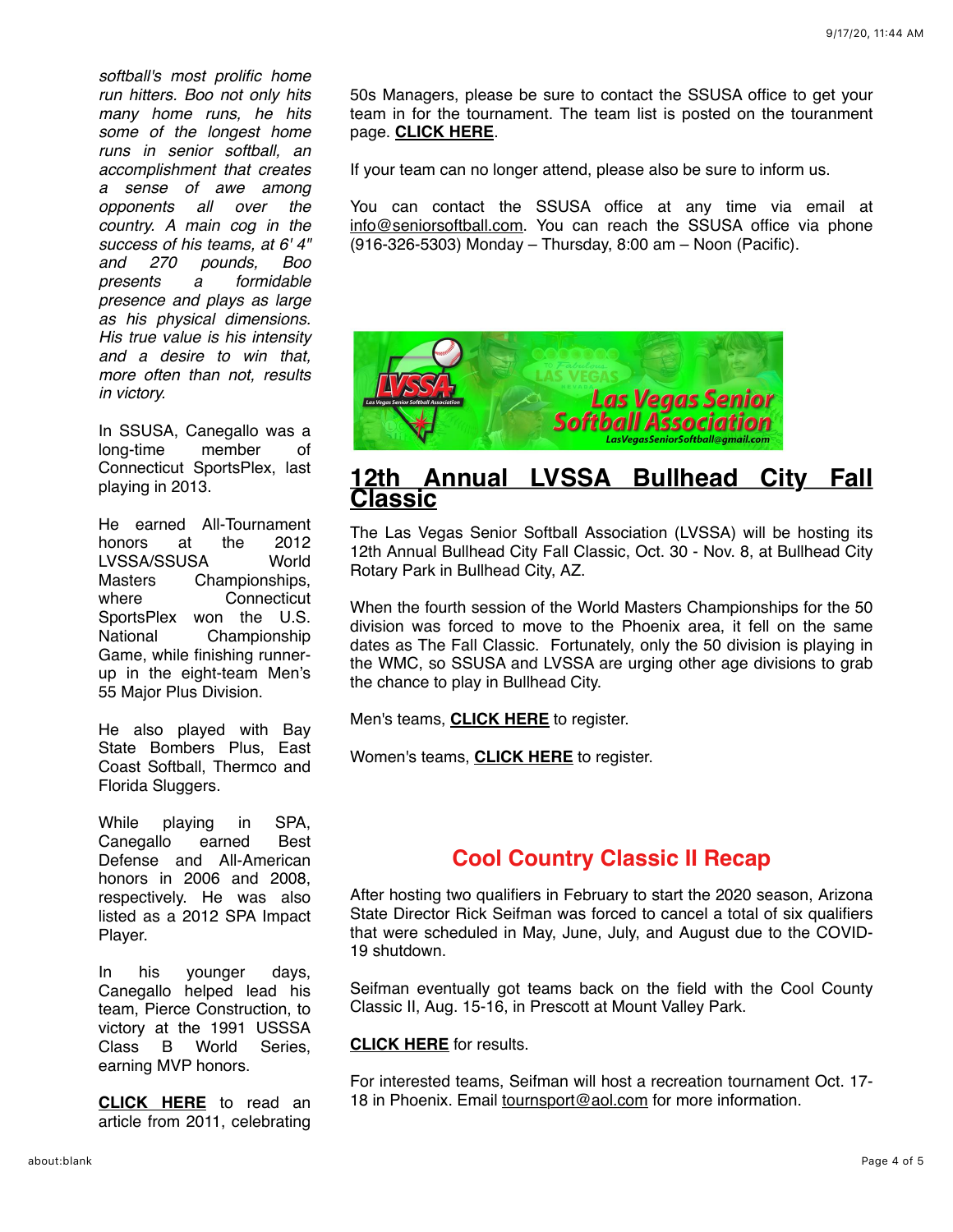*softball's most prolific home run hitters. Boo not only hits many home runs, he hits some of the longest home runs in senior softball, an accomplishment that creates a sense of awe among opponents all over the country. A main cog in the success of his teams, at 6' 4" and 270 pounds, Boo presents a formidable presence and plays as large as his physical dimensions. His true value is his intensity and a desire to win that, more often than not, results in victory.*

In SSUSA, Canegallo was a long-time member of Connecticut SportsPlex, last playing in 2013.

He earned All-Tournament honors at the 2012 LVSSA/SSUSA World Masters Championships, where Connecticut SportsPlex won the U.S. National Championship Game, while finishing runnerup in the eight-team Men's 55 Major Plus Division.

He also played with Bay State Bombers Plus, East Coast Softball, Thermco and Florida Sluggers.

While playing in SPA, Canegallo earned Best Defense and All-American honors in 2006 and 2008, respectively. He was also listed as a 2012 SPA Impact Player.

In his younger days, Canegallo helped lead his team, Pierce Construction, to victory at the 1991 USSSA Class B World Series, earning MVP honors.

**[CLICK HERE](https://mandrillapp.com/track/click/30606666/www.masslive.com?p=eyJzIjoiaWhCX01lN2Mtem13b0MtdGZna2kyN3lfUExNIiwidiI6MSwicCI6IntcInVcIjozMDYwNjY2NixcInZcIjoxLFwidXJsXCI6XCJodHRwczpcXFwvXFxcL3d3dy5tYXNzbGl2ZS5jb21cXFwvc3BvcnRzXFxcLzIwMTFcXFwvMDNcXFwvc29mdGJhbGxfdGVhbV9jZWxlYnJhdGVzX21hZ2ljLmh0bWxcIixcImlkXCI6XCI1MTc3Y2Q1ZGMzYmI0ODI2YTI4YTc5OTQ2YTZiZDI0ZVwiLFwidXJsX2lkc1wiOltcImZkNmExMzY5NDlkY2E3YTFmYjk0MDJkMjE3NjZlZjBlZjY1OGM1NTZcIl19In0)** to read an article from 2011, celebrating

50s Managers, please be sure to contact the SSUSA office to get your team in for the tournament. The team list is posted on the touranment page. **[CLICK HERE](https://mandrillapp.com/track/click/30606666/seniorsoftball.com?p=eyJzIjoiNzdxczAybXBMTVcycFJoRzUza0VrdkVCeE0wIiwidiI6MSwicCI6IntcInVcIjozMDYwNjY2NixcInZcIjoxLFwidXJsXCI6XCJodHRwczpcXFwvXFxcL3NlbmlvcnNvZnRiYWxsLmNvbVxcXC8_ZXZlbnQ9MTQ2NVwiLFwiaWRcIjpcIjUxNzdjZDVkYzNiYjQ4MjZhMjhhNzk5NDZhNmJkMjRlXCIsXCJ1cmxfaWRzXCI6W1wiZTVlODFmZDI3OTg2ZjA3ZTkyYmU0MmZjNTVjNTIzOTM1NzI3MWM0OFwiXX0ifQ)**.

If your team can no longer attend, please also be sure to inform us.

You can contact the SSUSA office at any time via email at [info@seniorsoftball.com](mailto:info@seniorsoftball.com). You can reach the SSUSA office via phone (916-326-5303) Monday – Thursday, 8:00 am – Noon (Pacific).



#### **[12th Annual LVSSA Bullhead City Fall](https://mandrillapp.com/track/click/30606666/seniorsoftball.com?p=eyJzIjoiWVF0RjF1Xy1NR2w5Mkpib0E1VlAwNml5dFpzIiwidiI6MSwicCI6IntcInVcIjozMDYwNjY2NixcInZcIjoxLFwidXJsXCI6XCJodHRwczpcXFwvXFxcL3NlbmlvcnNvZnRiYWxsLmNvbVxcXC8_ZXZlbnQ9MTU1NlwiLFwiaWRcIjpcIjUxNzdjZDVkYzNiYjQ4MjZhMjhhNzk5NDZhNmJkMjRlXCIsXCJ1cmxfaWRzXCI6W1wiZTVlODFmZDI3OTg2ZjA3ZTkyYmU0MmZjNTVjNTIzOTM1NzI3MWM0OFwiXX0ifQ) Classic**

The Las Vegas Senior Softball Association (LVSSA) will be hosting its 12th Annual Bullhead City Fall Classic, Oct. 30 - Nov. 8, at Bullhead City Rotary Park in Bullhead City, AZ.

When the fourth session of the World Masters Championships for the 50 division was forced to move to the Phoenix area, it fell on the same dates as The Fall Classic. Fortunately, only the 50 division is playing in the WMC, so SSUSA and LVSSA are urging other age divisions to grab the chance to play in Bullhead City.

Men's teams, **[CLICK HERE](https://mandrillapp.com/track/click/30606666/app.eventconnect.io?p=eyJzIjoiNnY4QmtfT2ViQ0RQMV9RdjBqV0h5Z0xiNFN3IiwidiI6MSwicCI6IntcInVcIjozMDYwNjY2NixcInZcIjoxLFwidXJsXCI6XCJodHRwczpcXFwvXFxcL2FwcC5ldmVudGNvbm5lY3QuaW9cXFwvZXZlbnRzXFxcLzEzNTkyXFxcL3JlZ2lzdHJhdGlvbi10eXBlXFxcL2NyZWF0ZT9uYXY9aGlkZGVuXCIsXCJpZFwiOlwiNTE3N2NkNWRjM2JiNDgyNmEyOGE3OTk0NmE2YmQyNGVcIixcInVybF9pZHNcIjpbXCIzMjcxNGMwZWQ3MTU1MjEwMjRjY2Q1MGVhYTMyYWRlMDlhMzRjMjA0XCJdfSJ9)** to register.

Women's teams, **[CLICK HERE](https://mandrillapp.com/track/click/30606666/app.eventconnect.io?p=eyJzIjoiY2RlVHE0Z2hTaU5qMmI4Z3VtdHBiWkhFdm1RIiwidiI6MSwicCI6IntcInVcIjozMDYwNjY2NixcInZcIjoxLFwidXJsXCI6XCJodHRwczpcXFwvXFxcL2FwcC5ldmVudGNvbm5lY3QuaW9cXFwvZXZlbnRzXFxcLzEzNTkxXFxcL3JlZ2lzdHJhdGlvbi10eXBlXFxcL2NyZWF0ZT9uYXY9aGlkZGVuXCIsXCJpZFwiOlwiNTE3N2NkNWRjM2JiNDgyNmEyOGE3OTk0NmE2YmQyNGVcIixcInVybF9pZHNcIjpbXCJmOGMwOTQ2YzNkMTM4MGUwMGRkZDcwOWU2ZjI1ZDg2MDBmYmZiZjUwXCJdfSJ9)** to register.

### **[Cool Country Classic II Recap](https://mandrillapp.com/track/click/30606666/seniorsoftball.com?p=eyJzIjoiSlpFVkNSWUh4Vy1JejBFWGVlQ3JMZlVDYlVVIiwidiI6MSwicCI6IntcInVcIjozMDYwNjY2NixcInZcIjoxLFwidXJsXCI6XCJodHRwczpcXFwvXFxcL3NlbmlvcnNvZnRiYWxsLmNvbVxcXC8_bmV3cyZzdG9yeT0xNzEyXCIsXCJpZFwiOlwiNTE3N2NkNWRjM2JiNDgyNmEyOGE3OTk0NmE2YmQyNGVcIixcInVybF9pZHNcIjpbXCJlNWU4MWZkMjc5ODZmMDdlOTJiZTQyZmM1NWM1MjM5MzU3MjcxYzQ4XCJdfSJ9)**

After hosting two qualifiers in February to start the 2020 season, Arizona State Director Rick Seifman was forced to cancel a total of six qualifiers that were scheduled in May, June, July, and August due to the COVID-19 shutdown.

Seifman eventually got teams back on the field with the Cool County Classic II, Aug. 15-16, in Prescott at Mount Valley Park.

#### **[CLICK HERE](https://mandrillapp.com/track/click/30606666/seniorsoftball.com?p=eyJzIjoiR2NHbEh2cFM4ZG1uaU00emtra0FRaFRrT2p3IiwidiI6MSwicCI6IntcInVcIjozMDYwNjY2NixcInZcIjoxLFwidXJsXCI6XCJodHRwczpcXFwvXFxcL3NlbmlvcnNvZnRiYWxsLmNvbVxcXC9tdWx0aW1lZGlhXFxcLzIwMjBfY29vbF9jb3VudHJ5X2NsYXNzaWNfaWlfcmVzdWx0cy5wZGZcIixcImlkXCI6XCI1MTc3Y2Q1ZGMzYmI0ODI2YTI4YTc5OTQ2YTZiZDI0ZVwiLFwidXJsX2lkc1wiOltcIjViOTM5Yjk0NTBkMTdhZjNlNjZkNjRiYjIzZjk3Yzk0M2QxNWMwY2FcIl19In0)** for results.

For interested teams, Seifman will host a recreation tournament Oct. 17- 18 in Phoenix. Email [tournsport@aol.com](mailto:tournsport@aol.com) for more information.